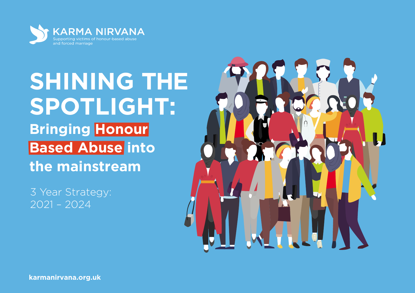

# **SHINING THE SPOTLIGHT: Bringing Honour Based Abuse into the mainstream**

3 Year Strategy: 2021 – 2024

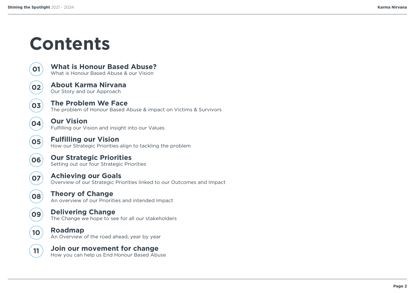## **Contents**



**05**

**06**

**07**

**10**

**09**

**08**

**[About Karma Nirvana](#page-4-0)** Our Story and our Approach

**The Problem We Face** [The problem of Honour Based Abuse & impact on](#page-9-0)  Victims & Survivors

**Our Vision** Fulfilling our V[ision and insight into our](#page-13-0)  Values

**[What is Honour Based Abuse?](#page-2-0)** What is Honour Based Abuse & our Vision

**Fulfilling our Vision** [How our Strategic Priorities align to tackling the problem](#page-14-0)

**[Our Strategic Priorities](#page-15-0)** Setting out our four Strategic Priorities

**[Achieving our Goals](#page-16-0)** Overview of our Strategic Priorities linked to our Outcomes and Impact

**[Theory of Change](#page-22-0)** An overview of our Priorities and intended Impact

**Delivering Change** The C[hange we hope to see for all our stakeholders](#page-23-0)



#### **[Join our movement for change](#page-27-0) 11 JOIN OUT MOVEMENT TOT Change**<br>How you can help us End Honour Based Abuse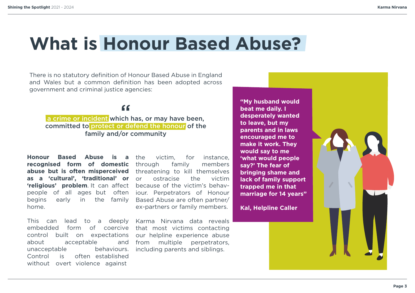### <span id="page-2-0"></span>**What is Honour Based Abuse?**

There is no statutory definition of Honour Based Abuse in England and Wales but a common definition has been adopted across government and criminal justice agencies:

### $66$

a crime or incident which has, or may have been, committed to protect or defend the honour of the family and/or community

**Honour Based Abuse is a recognised form of domestic abuse but is often misperceived** threatening to kill themselves **as a 'cultural', 'traditional' or 'religious' problem**. It can affect because of the victim's behavpeople of all ages but often iour. Perpetrators of Honour begins early in the family Based Abuse are often partner/ home.

This can lead to a deeply embedded form of coercive that most victims contacting control built on expectations about unacceptable Control is acceptable behaviours. often established without overt violence against

the victim, for instance, through family members or ostracise the victim ex-partners or family members.

Karma Nirvana data reveals our helpline experience abuse and from multiple perpetrators, including parents and siblings.

**"My husband would beat me daily. I desperately wanted to leave, but my parents and in laws encouraged me to make it work. They would say to me 'what would people say?' The fear of bringing shame and lack of family support trapped me in that marriage for 14 years"** 

**Kal, Helpline Caller**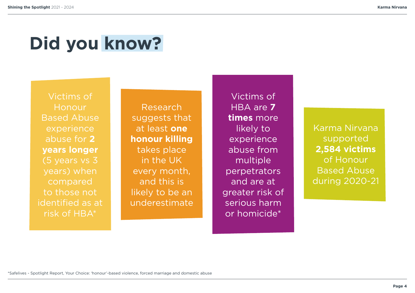# **Did you know?**

Victims of **Honour** Based Abuse experience abuse for **2 years longer** (5 years vs 3 years) when compared to those not identified as at risk of HBA\*

Research suggests that at least **one honour killing**  takes place in the UK every month, and this is likely to be an underestimate

Victims of HBA are **7 times** more likely to experience abuse from multiple perpetrators and are at greater risk of serious harm or homicide\*

Karma Nirvana supported **2,584 victims**  of Honour Based Abuse during 2020-21

\*Safelives - Spotlight Report, Your Choice: 'honour'-based violence, forced marriage and domestic abuse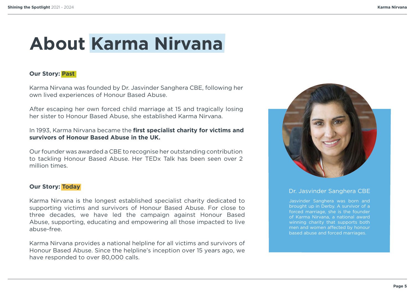## <span id="page-4-0"></span>**About Karma Nirvana**

#### **Our Story: Past**

Karma Nirvana was founded by Dr. Jasvinder Sanghera CBE, following her own lived experiences of Honour Based Abuse.

After escaping her own forced child marriage at 15 and tragically losing her sister to Honour Based Abuse, she established Karma Nirvana.

#### In 1993, Karma Nirvana became the **first specialist charity for victims and survivors of Honour Based Abuse in the UK.**

Our founder was awarded a CBE to recognise her outstanding contribution to tackling Honour Based Abuse. Her TEDx Talk has been seen over 2 million times.

#### **Our Story: Today**

Karma Nirvana is the longest established specialist charity dedicated to supporting victims and survivors of Honour Based Abuse. For close to three decades, we have led the campaign against Honour Based Abuse, supporting, educating and empowering all those impacted to live abuse-free.

Karma Nirvana provides a national helpline for all victims and survivors of Honour Based Abuse. Since the helpline's inception over 15 years ago, we have responded to over 80,000 calls.



#### Dr. Jasvinder Sanghera CBE

Jasvinder Sanghera was born and brought up in Derby. A survivor of a forced marriage, she is the founder of Karma Nirvana, a national award winning charity that supports both men and women affected by honour based abuse and forced marriages.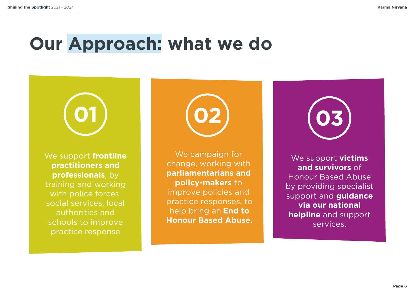### **Our Approach: what we do**

We support **frontline practitioners and professionals**, by training and working with police forces, social services, local authorities and schools to improve practice response

We campaign for change, working with **parliamentarians and policy-makers** to improve policies and practice responses, to help bring an **End to Honour Based Abuse.**

We support **victims and survivors** of Honour Based Abuse by providing specialist support and **guidance via our national helpline** and support services.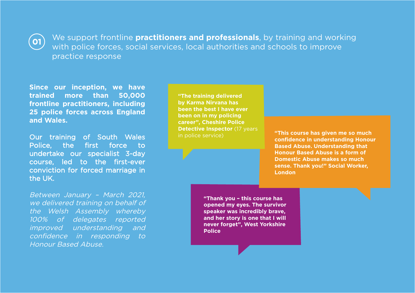

We support frontline **practitioners and professionals**, by training and working with police forces, social services, local authorities and schools to improve practice response

**Since our inception, we have trained more than 50,000 frontline practitioners, including 25 police forces across England and Wales.**

Our training of South Wales Police, the first force to undertake our specialist 3-day course, led to the first-ever conviction for forced marriage in the UK.

Between January – March 2021, we delivered training on behalf of the Welsh Assembly whereby 100% of delegates reported improved understanding and confidence in responding to Honour Based Abuse.

**"The training delivered by Karma Nirvana has been the best I have ever been on in my policing career", Cheshire Police Detective Inspector** (17 years) in police service)

**"This course has given me so much confidence in understanding Honour Based Abuse. Understanding that Honour Based Abuse is a form of Domestic Abuse makes so much sense. Thank you!" Social Worker, London**

**"Thank you – this course has opened my eyes. The survivor speaker was incredibly brave, and her story is one that I will never forget", West Yorkshire Police**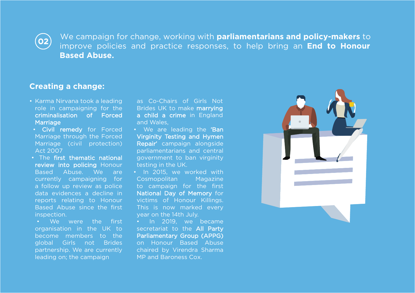$\left($ O2 $\right)$ 

We campaign for change, working with **parliamentarians and policy-makers** to improve policies and practice responses, to help bring an **End to Honour Based Abuse.**

#### **Creating a change:**

- Karma Nirvana took a leading role in campaigning for the criminalisation of Forced Marriage
- Civil remedy for Forced Marriage through the Forced Marriage (civil protection) Act 2007
- The first thematic national review into policing Honour Based Abuse. We are currently campaigning for a follow up review as police data evidences a decline in reports relating to Honour Based Abuse since the first inspection.
- We were the first organisation in the UK to become members to the global Girls not Brides partnership. We are currently leading on; the campaign

as Co-Chairs of Girls Not Brides UK to make marrying a child a crime in England and Wales,

- We are leading the 'Ban Virginity Testing and Hymen Repair' campaign alongside parliamentarians and central government to ban virginity testing in the UK.
- In 2015, we worked with Cosmopolitan Magazine to campaign for the first National Day of Memory for victims of Honour Killings. This is now marked every year on the 14th July.

• In 2019, we became secretariat to the All Party Parliamentary Group (APPG) on Honour Based Abuse chaired by Virendra Sharma MP and Baroness Cox.

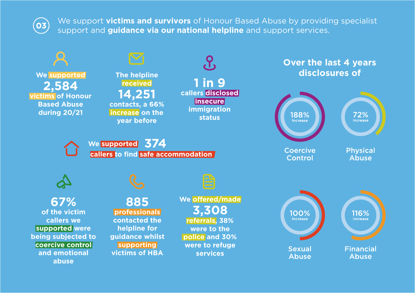$(o3)$ 

We support **victims and survivors** of Honour Based Abuse by providing specialist support and **guidance via our national helpline** and support services.

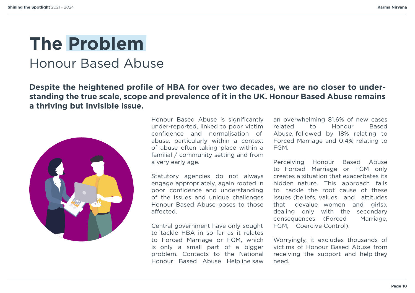### <span id="page-9-0"></span>**The Problem** Honour Based Abuse

**Despite the heightened profile of HBA for over two decades, we are no closer to understanding the true scale, scope and prevalence of it in the UK. Honour Based Abuse remains a thriving but invisible issue.** 



Honour Based Abuse is significantly under-reported, linked to poor victim confidence and normalisation of abuse, particularly within a context of abuse often taking place within a familial / community setting and from a very early age.

Statutory agencies do not always engage appropriately, again rooted in poor confidence and understanding of the issues and unique challenges Honour Based Abuse poses to those affected.

Central government have only sought to tackle HBA in so far as it relates to Forced Marriage or FGM, which is only a small part of a bigger problem. Contacts to the National Honour Based Abuse Helpline saw an overwhelming 81.6% of new cases related to Honour Based Abuse, followed by 18% relating to Forced Marriage and 0.4% relating to FGM.

Perceiving Honour Based Abuse to Forced Marriage or FGM only creates a situation that exacerbates its hidden nature. This approach fails to tackle the root cause of these issues (beliefs, values and attitudes that devalue women and girls), dealing only with the secondary consequences (Forced Marriage, FGM, Coercive Control).

Worryingly, it excludes thousands of victims of Honour Based Abuse from receiving the support and help they need.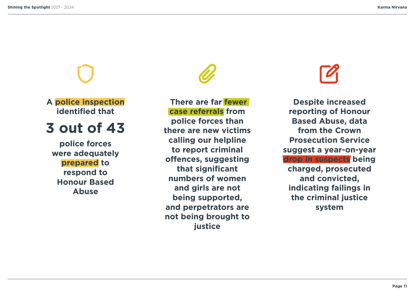**A police inspection identified that**

### **3 out of 43**

**police forces were adequately prepared to respond to Honour Based Abuse**

**There are far fewer case referrals from police forces than there are new victims calling our helpline to report criminal offences, suggesting that significant numbers of women and girls are not being supported, and perpetrators are not being brought to justice**

**Despite increased reporting of Honour Based Abuse, data from the Crown Prosecution Service suggest a year-on-year drop in suspects being charged, prosecuted and convicted, indicating failings in the criminal justice system**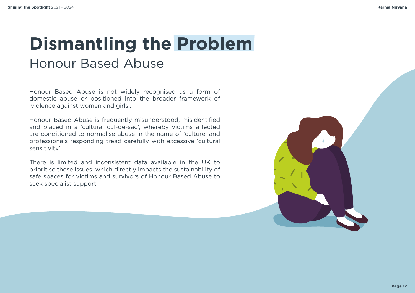### **Dismantling the Problem** Honour Based Abuse

Honour Based Abuse is not widely recognised as a form of domestic abuse or positioned into the broader framework of 'violence against women and girls'.

Honour Based Abuse is frequently misunderstood, misidentified and placed in a 'cultural cul-de-sac', whereby victims affected are conditioned to normalise abuse in the name of 'culture' and professionals responding tread carefully with excessive 'cultural sensitivity'.

There is limited and inconsistent data available in the UK to prioritise these issues, which directly impacts the sustainability of safe spaces for victims and survivors of Honour Based Abuse to seek specialist support.

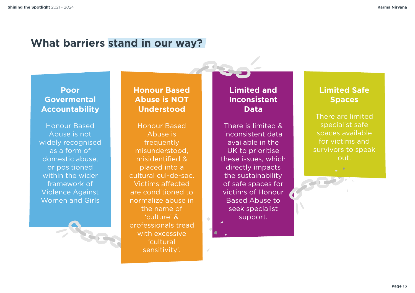### **What barriers stand in our way?**

### **Poor Govermental Accountability**

Honour Based Abuse is not widely recognised as a form of domestic abuse, or positioned within the wider framework of Violence Against Women and Girls

### **Honour Based Abuse is NOT Understood**

Honour Based Abuse is frequently misunderstood, misidentified & placed into a cultural cul-de-sac. Victims affected are conditioned to normalize abuse in the name of 'culture' & professionals tread with excessive 'cultural sensitivity'.

### **Limited and Inconsistent Data**

There is limited & inconsistent data available in the UK to prioritise these issues, which directly impacts the sustainability of safe spaces for victims of Honour Based Abuse to seek specialist support.

### **Limited Safe Spaces**

There are limited specialist safe spaces available for victims and survivors to speak out.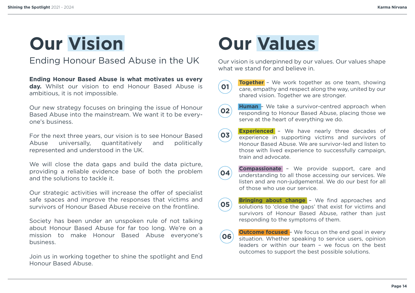# <span id="page-13-0"></span>**Our Vision**

Ending Honour Based Abuse in the UK

**Ending Honour Based Abuse is what motivates us every day.** Whilst our vision to end Honour Based Abuse is ambitious, it is not impossible.

Our new strategy focuses on bringing the issue of Honour Based Abuse into the mainstream. We want it to be everyone's business.

For the next three years, our vision is to see Honour Based Abuse universally, quantitatively and politically represented and understood in the UK.

We will close the data gaps and build the data picture, providing a reliable evidence base of both the problem and the solutions to tackle it.

Our strategic activities will increase the offer of specialist safe spaces and improve the responses that victims and survivors of Honour Based Abuse receive on the frontline.

Society has been under an unspoken rule of not talking about Honour Based Abuse for far too long. We're on a mission to make Honour Based Abuse everyone's business.

Join us in working together to shine the spotlight and End Honour Based Abuse.

# **Our Values**

Our vision is underpinned by our values. Our values shape what we stand for and believe in.



**Together** - We work together as one team, showing care, empathy and respect along the way, united by our shared vision. Together we are stronger.



**Human** – We take a survivor-centred approach when responding to Honour Based Abuse, placing those we serve at the heart of everything we do.

**Experienced** - We have nearly three decades of experience in supporting victims and survivors of Honour Based Abuse. We are survivor-led and listen to those with lived experience to successfully campaign, train and advocate. **03**

**Compassionate** – We provide support, care and understanding to all those accessing our services. We listen and are non-judgemental. We do our best for all of those who use our service. **04**

**Bringing about change** - We find approaches and solutions to 'close the gaps' that exist for victims and survivors of Honour Based Abuse, rather than just responding to the symptoms of them.

**Outcome focused** - We focus on the end goal in every situation. Whether speaking to service users, opinion leaders or within our team – we focus on the best outcomes to support the best possible solutions. **06**

**<sup>05</sup>**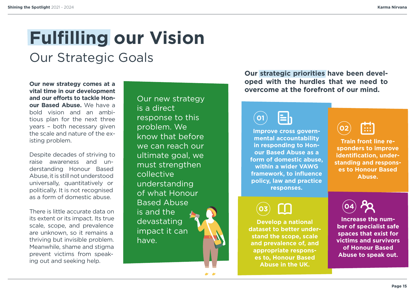# <span id="page-14-0"></span>**Fulfilling our Vision**

### Our Strategic Goals

**Our new strategy comes at a vital time in our development and our efforts to tackle Honour Based Abuse.** We have a bold vision and an ambitious plan for the next three years – both necessary given the scale and nature of the existing problem.

Despite decades of striving to raise awareness and understanding Honour Based Abuse, it is still not understood universally, quantitatively or politically. It is not recognised as a form of domestic abuse.

There is little accurate data on its extent or its impact. Its true scale, scope, and prevalence are unknown, so it remains a thriving but invisible problem. Meanwhile, shame and stigma prevent victims from speaking out and seeking help.

Our new strategy is a direct response to this problem. We know that before we can reach our ultimate goal, we must strengthen collective understanding of what Honour Based Abuse is and the devastating impact it can have.

نم بم

**Our strategic priorities have been developed with the hurdles that we need to overcome at the forefront of our mind.**



**Improve cross governmental accountability in responding to Honour Based Abuse as a form of domestic abuse, within a wider VAWG framework, to influence policy, law and practice responses.**

**03**

**Develop a national dataset to better understand the scope, scale and prevalence of, and appropriate responses to, Honour Based Abuse in the UK.**



**Train front line responders to improve identification, understanding and responses to Honour Based Abuse.**



**Increase the number of specialist safe spaces that exist for victims and survivors of Honour Based Abuse to speak out.**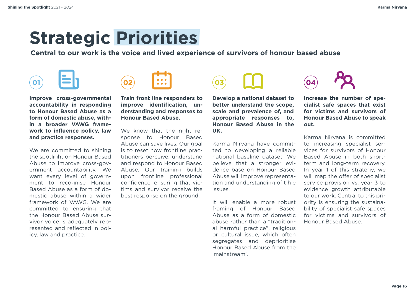### <span id="page-15-0"></span>**Strategic Priorities**

**Central to our work is the voice and lived experience of survivors of honour based abuse**

# $\Omega$ 1



**Improve cross-governmental accountability in responding to Honour Based Abuse as a form of domestic abuse, within a broader VAWG framework to influence policy, law and practice responses.**

We are committed to shining the spotlight on Honour Based Abuse to improve cross-government accountability. We want every level of government to recognise Honour Based Abuse as a form of domestic abuse within a wider framework of VAWG. We are committed to ensuring that the Honour Based Abuse survivor voice is adequately represented and reflected in policy, law and practice.

**Train front line responders to improve identification, understanding and responses to Honour Based Abuse.**

We know that the right response to Honour Based Abuse can save lives. Our goal is to reset how frontline practitioners perceive, understand and respond to Honour Based Abuse. Our training builds upon frontline professional confidence, ensuring that victims and survivor receive the best response on the ground.

**Develop a national dataset to better understand the scope, scale and prevalence of, and appropriate responses to, Honour Based Abuse in the UK.**

Karma Nirvana have committed to developing a reliable national baseline dataset. We believe that a stronger evidence base on Honour Based Abuse will improve representation and understanding of t h e issues.

It will enable a more robust framing of Honour Based Abuse as a form of domestic abuse rather than a "traditional harmful practice", religious or cultural issue, which often segregates and deprioritise Honour Based Abuse from the 'mainstream'.



**Increase the number of specialist safe spaces that exist for victims and survivors of Honour Based Abuse to speak out.**

Karma Nirvana is committed to increasing specialist services for survivors of Honour Based Abuse in both shortterm and long-term recovery. In year 1 of this strategy, we will map the offer of specialist service provision vs. year 3 to evidence growth attributable to our work. Central to this priority is ensuring the sustainability of specialist safe spaces for victims and survivors of Honour Based Abuse.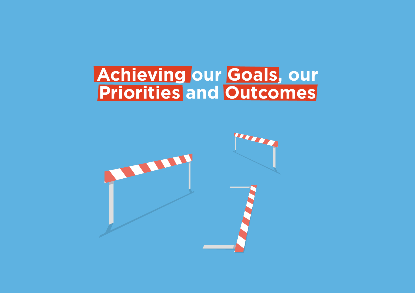### <span id="page-16-0"></span>**Achieving our Goals, our Priorities and Outcomes**

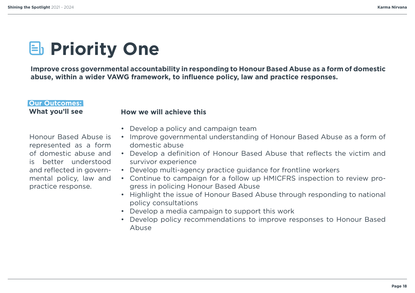## **E** Priority One

**Improve cross governmental accountability in responding to Honour Based Abuse as a form of domestic abuse, within a wider VAWG framework, to influence policy, law and practice responses.**

#### **Our Outcomes: What you'll see**

#### **How we will achieve this**

Honour Based Abuse is represented as a form of domestic abuse and is better understood and reflected in governmental policy, law and practice response.

- Develop a policy and campaign team
- Improve governmental understanding of Honour Based Abuse as a form of domestic abuse
- Develop a definition of Honour Based Abuse that reflects the victim and survivor experience
- Develop multi-agency practice guidance for frontline workers
- Continue to campaign for a follow up HMICFRS inspection to review progress in policing Honour Based Abuse
- Highlight the issue of Honour Based Abuse through responding to national policy consultations
- Develop a media campaign to support this work
- Develop policy recommendations to improve responses to Honour Based Abuse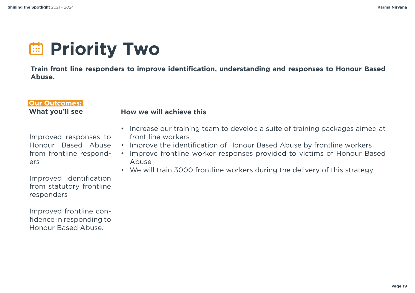## *<u>ED</u>* Priority Two

**Train front line responders to improve identification, understanding and responses to Honour Based Abuse.**

#### **Our Outcomes: What you'll see**

#### **How we will achieve this**

Improved responses to Honour Based Abuse from frontline responders

- Increase our training team to develop a suite of training packages aimed at front line workers
- Improve the identification of Honour Based Abuse by frontline workers
- Improve frontline worker responses provided to victims of Honour Based Abuse
- We will train 3000 frontline workers during the delivery of this strategy

Improved identification from statutory frontline responders

Improved frontline confidence in responding to Honour Based Abuse.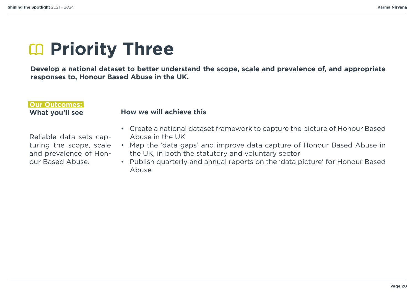## **EQ Priority Three**

**Develop a national dataset to better understand the scope, scale and prevalence of, and appropriate responses to, Honour Based Abuse in the UK.**

### **Our Outcomes: What you'll see How we will achieve this**

Reliable data sets capturing the scope, scale and prevalence of Honour Based Abuse.

- Create a national dataset framework to capture the picture of Honour Based Abuse in the UK
- Map the 'data gaps' and improve data capture of Honour Based Abuse in the UK, in both the statutory and voluntary sector
- Publish quarterly and annual reports on the 'data picture' for Honour Based Abuse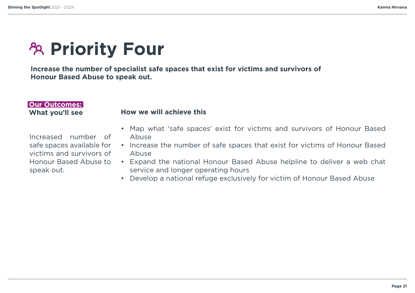## **PRIORITY Four**

**Increase the number of specialist safe spaces that exist for victims and survivors of Honour Based Abuse to speak out.**

#### **Our Outcomes: What you'll see**

Increased number of safe spaces available for victims and survivors of Honour Based Abuse to speak out.

- **How we will achieve this**
- Map what 'safe spaces' exist for victims and survivors of Honour Based Abuse
- Increase the number of safe spaces that exist for victims of Honour Based Abuse
- Expand the national Honour Based Abuse helpline to deliver a web chat service and longer operating hours
- Develop a national refuge exclusively for victim of Honour Based Abuse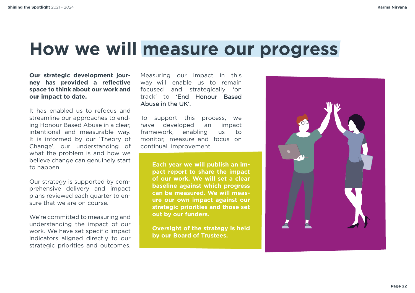### **How we will measure our progress**

#### **Our strategic development journey has provided a reflective space to think about our work and our impact to date.**

It has enabled us to refocus and streamline our approaches to ending Honour Based Abuse in a clear, intentional and measurable way. It is informed by our 'Theory of Change', our understanding of what the problem is and how we believe change can genuinely start to happen.

Our strategy is supported by comprehensive delivery and impact plans reviewed each quarter to ensure that we are on course.

We're committed to measuring and understanding the impact of our work. We have set specific impact indicators aligned directly to our strategic priorities and outcomes.

Measuring our impact in this way will enable us to remain focused and strategically 'on track' to 'End Honour Based Abuse in the UK'.

To support this process, we have developed an impact framework, enabling  $\overline{US}$  $to$ monitor, measure and focus on continual improvement.

> **Each year we will publish an impact report to share the impact of our work. We will set a clear baseline against which progress can be measured. We will measure our own impact against our strategic priorities and those set out by our funders.**

> **Oversight of the strategy is held by our Board of Trustees.**

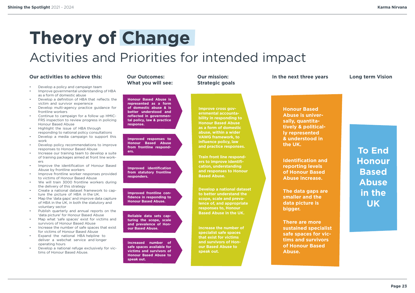### <span id="page-22-0"></span>**Theory of Change** Activities and Priorities for intended impact

#### **Our activities to achieve this: Our Outcomes:**

- Develop a policy and campaign team
- Improve governmental understanding of HBA as a form of domestic abuse
- Develop a definition of HBA that reflects the victim and survivor experience
- Develop multi-agency practice guidance for frontline workers
- Continue to campaign for a follow up HMIC-FRS inspection to review progress in policing Honour Based Abuse
- Highlight the issue of HBA through responding to national policy consultations
- Develop a media campaign to support this work
- Develop policy recommendations to improve responses to Honour Based Abuse
- Increase our training team to develop a suite of training packages aimed at front line workers
- Improve the identification of Honour Based Abuse by frontline workers
- Improve frontline worker responses provided to victims of Honour Based Abuse
- We will train 3000 frontline workers during the delivery of this strategy
- Create a national dataset framework to capture the picture of HBA in the UK.
- Map the 'data gaps' and improve data capture of HBA in the UK, in both the statutory and voluntary sector
- Publish quarterly and annual reports on the 'data picture' for Honour Based Abuse
- Map what 'safe spaces' exist for victims and survivors of Honour Based Abuse
- Increase the number of safe spaces that exist for victims of Honour Based Abuse
- Expand the national HBA helpline to deliver a webchat service and longer operating hours
- Develop a national refuge exclusively for victims of Honour Based Abuse.

### **What you will see:**

**Honour Based Abuse is represented as a form of domestic abuse & is better understood and reflected in governmental policy, law & practice response.**

**Improved responses to Honour Based Abuse from frontline responders.**

**Improved identification from statutory frontline responders.**

**Improved frontline confidence in responding to Honour Based Abuse.**

**Reliable data sets capturing the scope, scale and prevalence of Honour Based Abuse.**

**Increased number of safe spaces available for victims and survivors of Honour Based Abuse to speak out.**

#### **Our mission: Strategic goals**

**Improve cross governmental accountability in responding to Honour Based Abuse as a form of domestic abuse, within a wider VAWG framework, to influence policy, law and practice responses.**

**Train front line responders to improve identification, understanding and responses to Honour Based Abuse.**

**Develop a national dataset to better understand the scope, scale and prevalence of, and appropriate responses to, Honour Based Abuse in the UK.**

**Increase the number of specialist safe spaces that exist for victims and survivors of Honour Based Abuse to speak out.**

#### **In the next three years**

**Long term Vision**

**Honour Based Abuse is universally, quantitatively & politically represented & understood in the UK.**

**Identification and reporting levels of Honour Based Abuse increase.**

**The data gaps are smaller and the data picture is bigger.**

**There are more sustained specialist safe spaces for victims and survivors of Honour Based Abuse.**

### **To End Honour Based Abuse in the UK**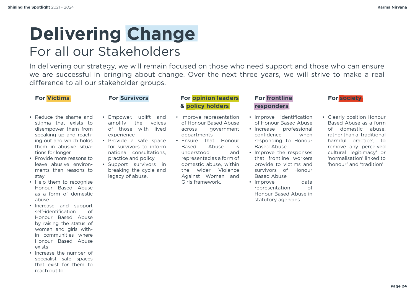### <span id="page-23-0"></span>**Delivering Change** For all our Stakeholders

In delivering our strategy, we will remain focused on those who need support and those who can ensure we are successful in bringing about change. Over the next three years, we will strive to make a real difference to all our stakeholder groups.

#### • Reduce the shame and stigma that exists to disempower them from speaking up and reaching out and which holds them in abusive situations for longer

- Provide more reasons to leave abusive environments than reasons to stay
- Help them to recognise Honour Based Abuse as a form of domestic abuse
- Increase and support self-identification of Honour Based Abuse by raising the status of women and girls within communities where Honour Based Abuse *<u>aviete</u>*
- Increase the number of specialist safe spaces that exist for them to reach out to.

- Empower, uplift and amplify the voices of those with lived experience
- Provide a safe space for survivors to inform national consultations, practice and policy
- Support survivors in breaking the cycle and legacy of abuse.

#### **For <mark>Victims</mark> <b>For Survivors For opinion leaders** For frontline **For Society & policy holders**

- Improve representation of Honour Based Abuse across government departments
- Ensure that Honour Based Abuse is understood and represented as a form of domestic abuse, within the wider Violence Against Women and Girls framework.

#### **For frontline responders**

- Improve identification of Honour Based Abuse
- Increase professional confidence when responding to Honour Based Abuse
- Improve the responses that frontline workers provide to victims and survivors of Honour Based Abuse
- Improve data representation of Honour Based Abuse in statutory agencies.

• Clearly position Honour Based Abuse as a form of domestic abuse, rather than a 'traditional harmful practice', to remove any perceived cultural 'legitimacy' or 'normalisation' linked to 'honour' and 'tradition'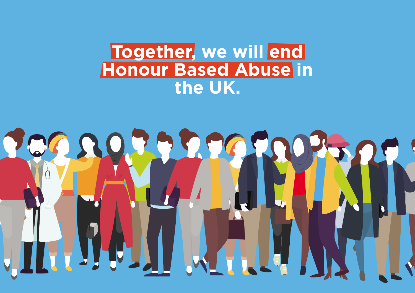### **Together, we will end Honour Based Abuse in the UK.**

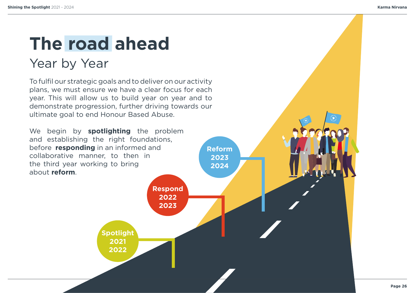### <span id="page-25-0"></span>**The road ahead** Year by Year

To fulfil our strategic goals and to deliver on our activity plans, we must ensure we have a clear focus for each year. This will allow us to build year on year and to demonstrate progression, further driving towards our ultimate goal to end Honour Based Abuse.

We begin by **spotlighting** the problem and establishing the right foundations, before **responding** in an informed and collaborative manner, to then in the third year working to bring about **reform**.

**2021 2022 2022 2023 Spotlight Respond Reform 2023 2024**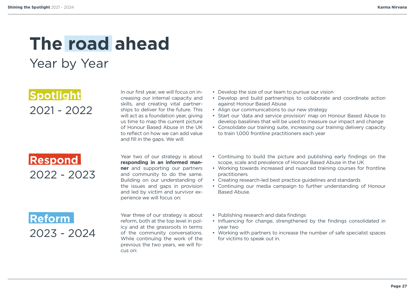### **The road ahead** Year by Year

**Spotlight** 2021 - 2022

In our first year, we will focus on increasing our internal capacity and skills, and creating vital partnerships to deliver for the future. This will act as a foundation year, giving us time to map the current picture of Honour Based Abuse in the UK to reflect on how we can add value and fill in the gaps. We will:

**Respond** 2022 - 2023 Year two of our strategy is about **responding in an informed manner** and supporting our partners and community to do the same. Building on our understanding of the issues and gaps in provision and led by victim and survivor experience we will focus on:

**Reform** 2023 - 2024

Year three of our strategy is about reform, both at the top level in policy and at the grassroots in terms of the community conversations. While continuing the work of the previous the two years, we will focus on:

- Develop the size of our team to pursue our vision
- Develop and build partnerships to collaborate and coordinate action against Honour Based Abuse
- Align our communications to our new strategy
- Start our 'data and service provision' map on Honour Based Abuse to develop baselines that will be used to measure our impact and change
- Consolidate our training suite, increasing our training delivery capacity to train 1,000 frontline practitioners each year
- Continuing to build the picture and publishing early findings on the scope, scale and prevalence of Honour Based Abuse in the UK
- Working towards increased and nuanced training courses for frontline practitioners
- Creating research-led best practice guidelines and standards
- Continuing our media campaign to further understanding of Honour Based Abuse.
- Publishing research and data findings
- Influencing for change, strengthened by the findings consolidated in year two
- Working with partners to increase the number of safe specialist spaces for victims to speak out in.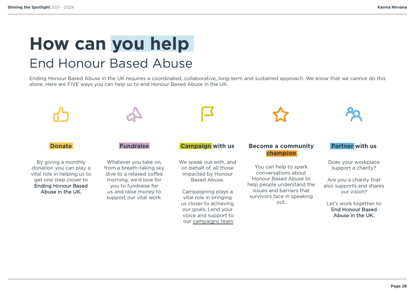### <span id="page-27-0"></span>**How can you help** End Honour Based Abuse

Ending Honour Based Abuse in the UK requires a coordinated, collaborative, long-term and sustained approach. We know that we cannot do this alone. Here are FIVE ways you can help us to end Honour Based Abuse in the UK.